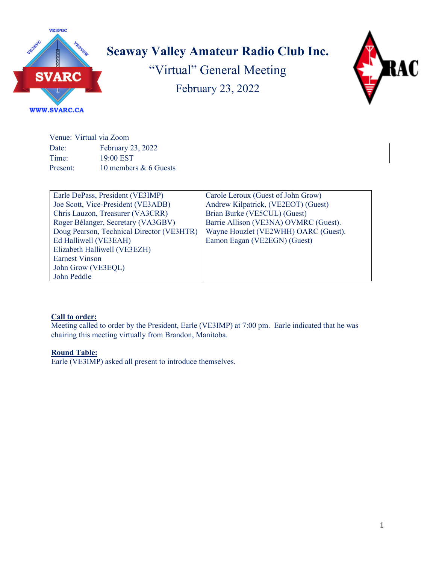

# **Seaway Valley Amateur Radio Club Inc.**

"Virtual" General Meeting February 23, 2022



#### **WWW.SVARC.CA**

Venue: Virtual via Zoom Date: February 23, 2022 Time: 19:00 EST Present: 10 members & 6 Guests

| Earle DePass, President (VE3IMP)          | Carole Leroux (Guest of John Grow)    |
|-------------------------------------------|---------------------------------------|
| Joe Scott, Vice-President (VE3ADB)        | Andrew Kilpatrick, (VE2EOT) (Guest)   |
| Chris Lauzon, Treasurer (VA3CRR)          | Brian Burke (VE5CUL) (Guest)          |
| Roger Bélanger, Secretary (VA3GBV)        | Barrie Allison (VE3NA) OVMRC (Guest). |
| Doug Pearson, Technical Director (VE3HTR) | Wayne Houzlet (VE2WHH) OARC (Guest).  |
| Ed Halliwell (VE3EAH)                     | Eamon Eagan (VE2EGN) (Guest)          |
| Elizabeth Halliwell (VE3EZH)              |                                       |
| <b>Earnest Vinson</b>                     |                                       |
| John Grow (VE3EQL)                        |                                       |
| John Peddle                               |                                       |

# **Call to order:**

Meeting called to order by the President, Earle (VE3IMP) at 7:00 pm. Earle indicated that he was chairing this meeting virtually from Brandon, Manitoba.

# **Round Table:**

Earle (VE3IMP) asked all present to introduce themselves.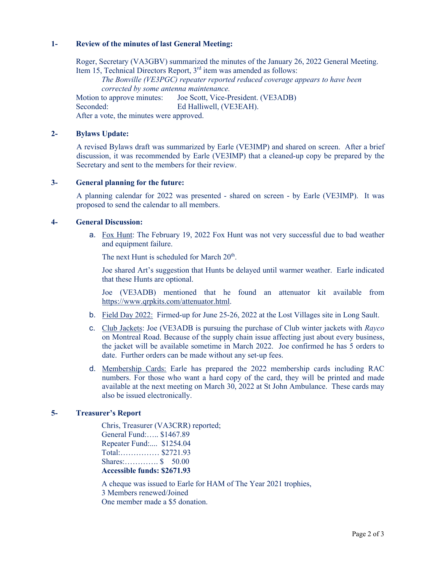## **1- Review of the minutes of last General Meeting:**

Roger, Secretary (VA3GBV) summarized the minutes of the January 26, 2022 General Meeting. Item 15, Technical Directors Report,  $3<sup>rd</sup>$  item was amended as follows: *The Bonville (VE3PGC) repeater reported reduced coverage appears to have been corrected by some antenna maintenance.* Motion to approve minutes: Joe Scott, Vice-President. (VE3ADB) Seconded: Ed Halliwell, (VE3EAH). After a vote, the minutes were approved.

## **2- Bylaws Update:**

A revised Bylaws draft was summarized by Earle (VE3IMP) and shared on screen. After a brief discussion, it was recommended by Earle (VE3IMP) that a cleaned-up copy be prepared by the Secretary and sent to the members for their review.

#### **3- General planning for the future:**

A planning calendar for 2022 was presented - shared on screen - by Earle (VE3IMP). It was proposed to send the calendar to all members.

#### **4- General Discussion:**

a. Fox Hunt: The February 19, 2022 Fox Hunt was not very successful due to bad weather and equipment failure.

The next Hunt is scheduled for March  $20<sup>th</sup>$ .

Joe shared Art's suggestion that Hunts be delayed until warmer weather. Earle indicated that these Hunts are optional.

Joe (VE3ADB) mentioned that he found an attenuator kit available from https://www.qrpkits.com/attenuator.html.

- b. Field Day 2022: Firmed-up for June 25-26, 2022 at the Lost Villages site in Long Sault.
- c. Club Jackets: Joe (VE3ADB is pursuing the purchase of Club winter jackets with *Rayco*  on Montreal Road. Because of the supply chain issue affecting just about every business, the jacket will be available sometime in March 2022. Joe confirmed he has 5 orders to date. Further orders can be made without any set-up fees.
- d. Membership Cards: Earle has prepared the 2022 membership cards including RAC numbers. For those who want a hard copy of the card, they will be printed and made available at the next meeting on March 30, 2022 at St John Ambulance. These cards may also be issued electronically.

## **5- Treasurer's Report**

Chris, Treasurer (VA3CRR) reported; General Fund:….. \$1467.89 Repeater Fund:.... \$1254.04 Total:…………… \$2721.93 Shares:…………. \$ 50.00 **Accessible funds: \$2671.93**

A cheque was issued to Earle for HAM of The Year 2021 trophies, 3 Members renewed/Joined One member made a \$5 donation.